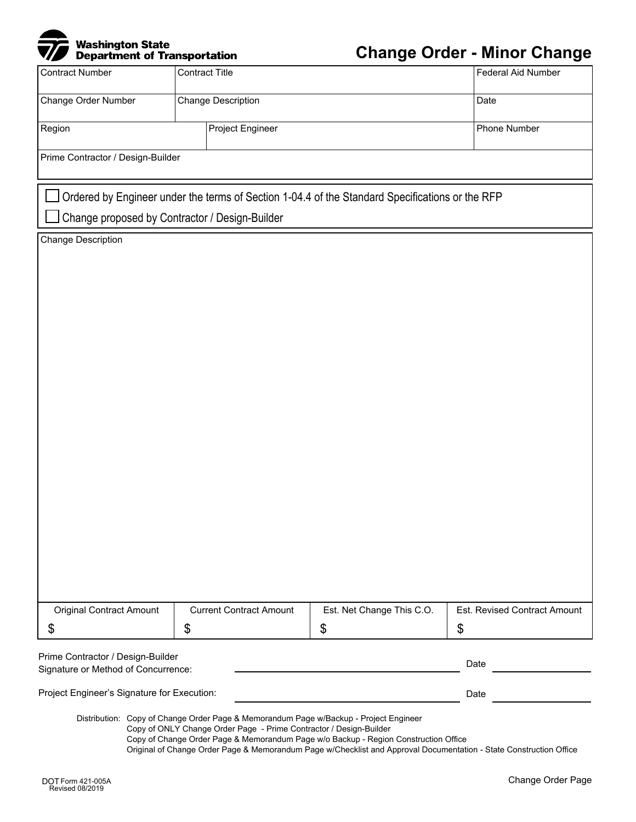

## **Change Order - Minor Change**

|                                                                                                 |                                |                           | Unango Uraor - minor Unango         |  |  |  |  |  |  |  |  |  |
|-------------------------------------------------------------------------------------------------|--------------------------------|---------------------------|-------------------------------------|--|--|--|--|--|--|--|--|--|
| <b>Contract Number</b>                                                                          | <b>Contract Title</b>          |                           | Federal Aid Number                  |  |  |  |  |  |  |  |  |  |
| Change Order Number                                                                             | Change Description             |                           | Date                                |  |  |  |  |  |  |  |  |  |
| Region                                                                                          | Project Engineer               |                           | Phone Number                        |  |  |  |  |  |  |  |  |  |
| Prime Contractor / Design-Builder                                                               |                                |                           |                                     |  |  |  |  |  |  |  |  |  |
| Ordered by Engineer under the terms of Section 1-04.4 of the Standard Specifications or the RFP |                                |                           |                                     |  |  |  |  |  |  |  |  |  |
| Change proposed by Contractor / Design-Builder                                                  |                                |                           |                                     |  |  |  |  |  |  |  |  |  |
| Change Description                                                                              |                                |                           |                                     |  |  |  |  |  |  |  |  |  |
|                                                                                                 |                                |                           |                                     |  |  |  |  |  |  |  |  |  |
|                                                                                                 |                                |                           |                                     |  |  |  |  |  |  |  |  |  |
|                                                                                                 |                                |                           |                                     |  |  |  |  |  |  |  |  |  |
|                                                                                                 |                                |                           |                                     |  |  |  |  |  |  |  |  |  |
|                                                                                                 |                                |                           |                                     |  |  |  |  |  |  |  |  |  |
|                                                                                                 |                                |                           |                                     |  |  |  |  |  |  |  |  |  |
|                                                                                                 |                                |                           |                                     |  |  |  |  |  |  |  |  |  |
|                                                                                                 |                                |                           |                                     |  |  |  |  |  |  |  |  |  |
|                                                                                                 |                                |                           |                                     |  |  |  |  |  |  |  |  |  |
|                                                                                                 |                                |                           |                                     |  |  |  |  |  |  |  |  |  |
|                                                                                                 |                                |                           |                                     |  |  |  |  |  |  |  |  |  |
|                                                                                                 |                                |                           |                                     |  |  |  |  |  |  |  |  |  |
|                                                                                                 |                                |                           |                                     |  |  |  |  |  |  |  |  |  |
|                                                                                                 |                                |                           |                                     |  |  |  |  |  |  |  |  |  |
|                                                                                                 |                                |                           |                                     |  |  |  |  |  |  |  |  |  |
|                                                                                                 |                                |                           |                                     |  |  |  |  |  |  |  |  |  |
| <b>Original Contract Amount</b>                                                                 | <b>Current Contract Amount</b> | Est. Net Change This C.O. | <b>Est. Revised Contract Amount</b> |  |  |  |  |  |  |  |  |  |
| \$                                                                                              | \$                             | \$                        | \$                                  |  |  |  |  |  |  |  |  |  |
| Prime Contractor / Design-Builder                                                               |                                |                           | Date                                |  |  |  |  |  |  |  |  |  |
| Signature or Method of Concurrence:                                                             |                                |                           |                                     |  |  |  |  |  |  |  |  |  |
| Project Engineer's Signature for Execution:                                                     |                                |                           | Date                                |  |  |  |  |  |  |  |  |  |

Distribution: Copy of Change Order Page & Memorandum Page w/Backup - Project Engineer

Copy of ONLY Change Order Page - Prime Contractor / Design-Builder

Copy of Change Order Page & Memorandum Page w/o Backup - Region Construction Office

Original of Change Order Page & Memorandum Page w/Checklist and Approval Documentation - State Construction Office